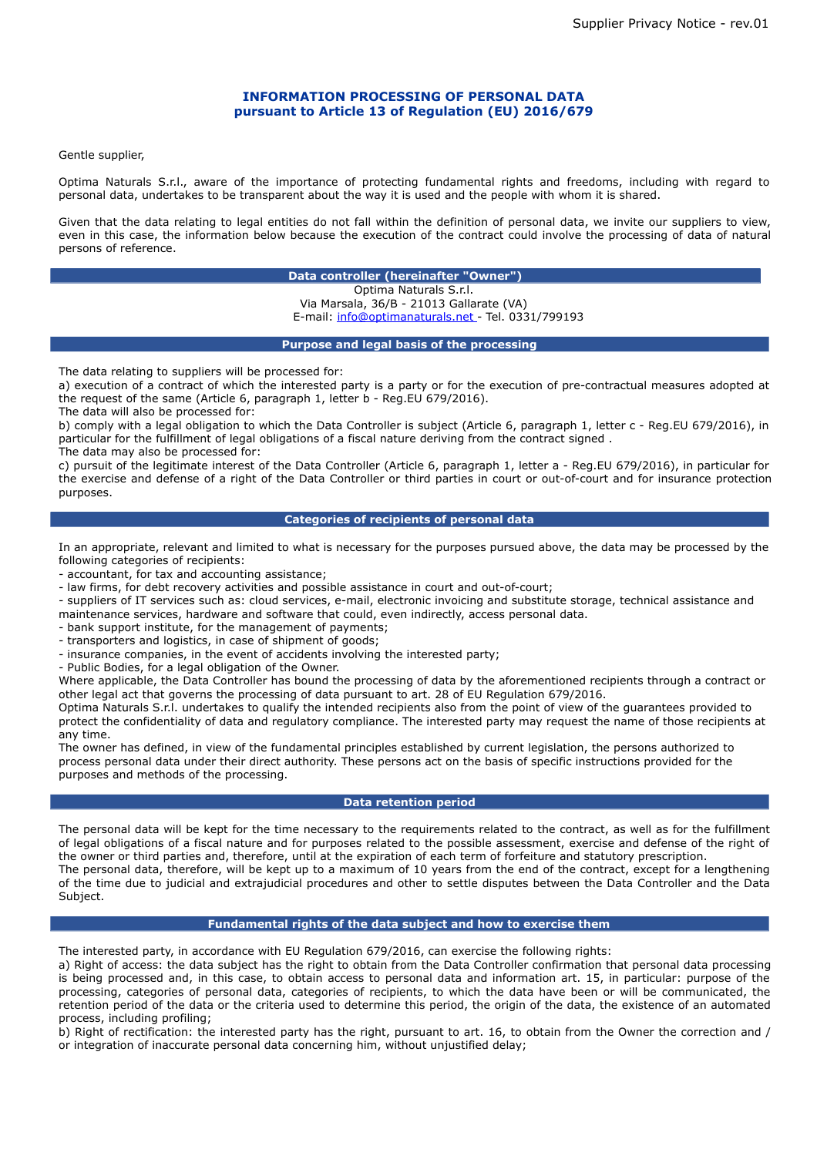# **INFORMATION PROCESSING OF PERSONAL DATA pursuant to Article 13 of Regulation (EU) 2016/679**

Gentle supplier,

Optima Naturals S.r.l., aware of the importance of protecting fundamental rights and freedoms, including with regard to personal data, undertakes to be transparent about the way it is used and the people with whom it is shared.

Given that the data relating to legal entities do not fall within the definition of personal data, we invite our suppliers to view, even in this case, the information below because the execution of the contract could involve the processing of data of natural persons of reference.

> **Data controller (hereinafter "Owner")** Optima Naturals S.r.l. Via Marsala, 36/B - 21013 Gallarate (VA) E-mail: [info@optimanaturals.net -](mailto:info@xxxxxxxxxxxxxx.com) Tel. 0331/799193

**Purpose and legal basis of the processing**

The data relating to suppliers will be processed for:

a) execution of a contract of which the interested party is a party or for the execution of pre-contractual measures adopted at the request of the same (Article 6, paragraph 1, letter b - Reg.EU 679/2016).

The data will also be processed for:

b) comply with a legal obligation to which the Data Controller is subject (Article 6, paragraph 1, letter c - Reg.EU 679/2016), in particular for the fulfillment of legal obligations of a fiscal nature deriving from the contract signed . The data may also be processed for:

c) pursuit of the legitimate interest of the Data Controller (Article 6, paragraph 1, letter a - Reg.EU 679/2016), in particular for the exercise and defense of a right of the Data Controller or third parties in court or out-of-court and for insurance protection purposes.

## **Categories of recipients of personal data**

In an appropriate, relevant and limited to what is necessary for the purposes pursued above, the data may be processed by the following categories of recipients:

- accountant, for tax and accounting assistance;

- law firms, for debt recovery activities and possible assistance in court and out-of-court;

- suppliers of IT services such as: cloud services, e-mail, electronic invoicing and substitute storage, technical assistance and maintenance services, hardware and software that could, even indirectly, access personal data.

- bank support institute, for the management of payments;

- transporters and logistics, in case of shipment of goods;

- insurance companies, in the event of accidents involving the interested party;

- Public Bodies, for a legal obligation of the Owner.

Where applicable, the Data Controller has bound the processing of data by the aforementioned recipients through a contract or other legal act that governs the processing of data pursuant to art. 28 of EU Regulation 679/2016.

Optima Naturals S.r.l. undertakes to qualify the intended recipients also from the point of view of the guarantees provided to protect the confidentiality of data and regulatory compliance. The interested party may request the name of those recipients at any time.

The owner has defined, in view of the fundamental principles established by current legislation, the persons authorized to process personal data under their direct authority. These persons act on the basis of specific instructions provided for the purposes and methods of the processing.

## **Data retention period**

The personal data will be kept for the time necessary to the requirements related to the contract, as well as for the fulfillment of legal obligations of a fiscal nature and for purposes related to the possible assessment, exercise and defense of the right of the owner or third parties and, therefore, until at the expiration of each term of forfeiture and statutory prescription. The personal data, therefore, will be kept up to a maximum of 10 years from the end of the contract, except for a lengthening of the time due to judicial and extrajudicial procedures and other to settle disputes between the Data Controller and the Data Subject.

### **Fundamental rights of the data subject and how to exercise them**

The interested party, in accordance with EU Regulation 679/2016, can exercise the following rights:

a) Right of access: the data subject has the right to obtain from the Data Controller confirmation that personal data processing is being processed and, in this case, to obtain access to personal data and information art. 15, in particular: purpose of the processing, categories of personal data, categories of recipients, to which the data have been or will be communicated, the retention period of the data or the criteria used to determine this period, the origin of the data, the existence of an automated process, including profiling;

b) Right of rectification: the interested party has the right, pursuant to art. 16, to obtain from the Owner the correction and / or integration of inaccurate personal data concerning him, without unjustified delay;